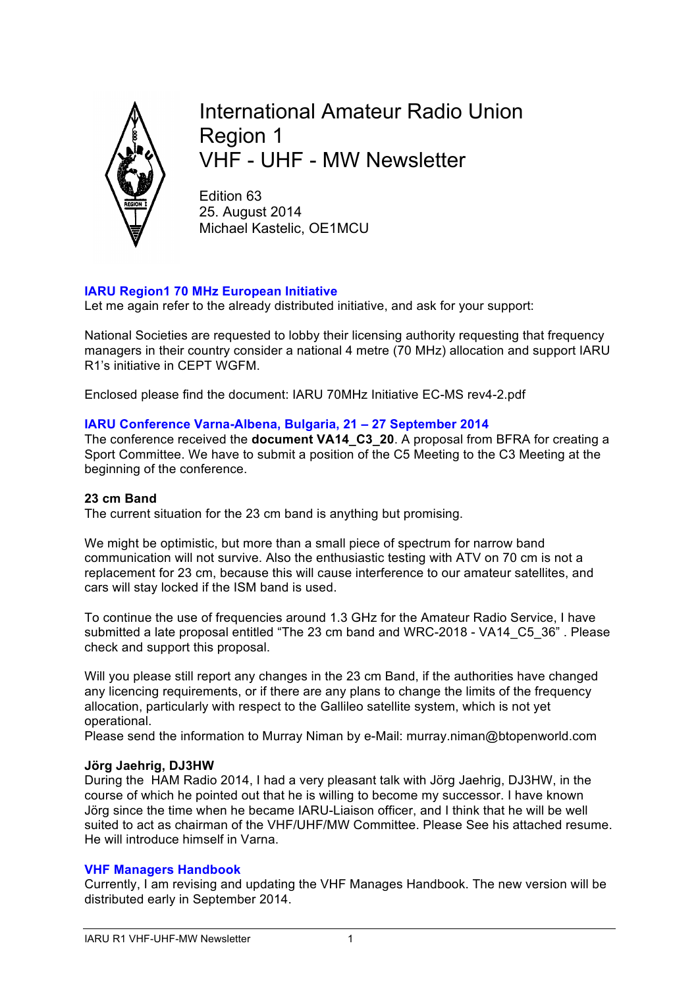

International Amateur Radio Union Region 1 VHF - UHF - MW Newsletter

Edition 63 25. August 2014 Michael Kastelic, OE1MCU

### **IARU Region1 70 MHz European Initiative**

Let me again refer to the already distributed initiative, and ask for your support:

National Societies are requested to lobby their licensing authority requesting that frequency managers in their country consider a national 4 metre (70 MHz) allocation and support IARU R1's initiative in CEPT WGFM.

Enclosed please find the document: IARU 70MHz Initiative EC-MS rev4-2.pdf

### **IARU Conference Varna-Albena, Bulgaria, 21 – 27 September 2014**

The conference received the **document VA14\_C3\_20**. A proposal from BFRA for creating a Sport Committee. We have to submit a position of the C5 Meeting to the C3 Meeting at the beginning of the conference.

#### **23 cm Band**

The current situation for the 23 cm band is anything but promising.

We might be optimistic, but more than a small piece of spectrum for narrow band communication will not survive. Also the enthusiastic testing with ATV on 70 cm is not a replacement for 23 cm, because this will cause interference to our amateur satellites, and cars will stay locked if the ISM band is used.

To continue the use of frequencies around 1.3 GHz for the Amateur Radio Service, I have submitted a late proposal entitled "The 23 cm band and WRC-2018 - VA14\_C5\_36" . Please check and support this proposal.

Will you please still report any changes in the 23 cm Band, if the authorities have changed any licencing requirements, or if there are any plans to change the limits of the frequency allocation, particularly with respect to the Gallileo satellite system, which is not yet operational.

Please send the information to Murray Niman by e-Mail: murray.niman@btopenworld.com

### **Jörg Jaehrig, DJ3HW**

During the HAM Radio 2014, I had a very pleasant talk with Jörg Jaehrig, DJ3HW, in the course of which he pointed out that he is willing to become my successor. I have known Jörg since the time when he became IARU-Liaison officer, and I think that he will be well suited to act as chairman of the VHF/UHF/MW Committee. Please See his attached resume. He will introduce himself in Varna.

### **VHF Managers Handbook**

Currently, I am revising and updating the VHF Manages Handbook. The new version will be distributed early in September 2014.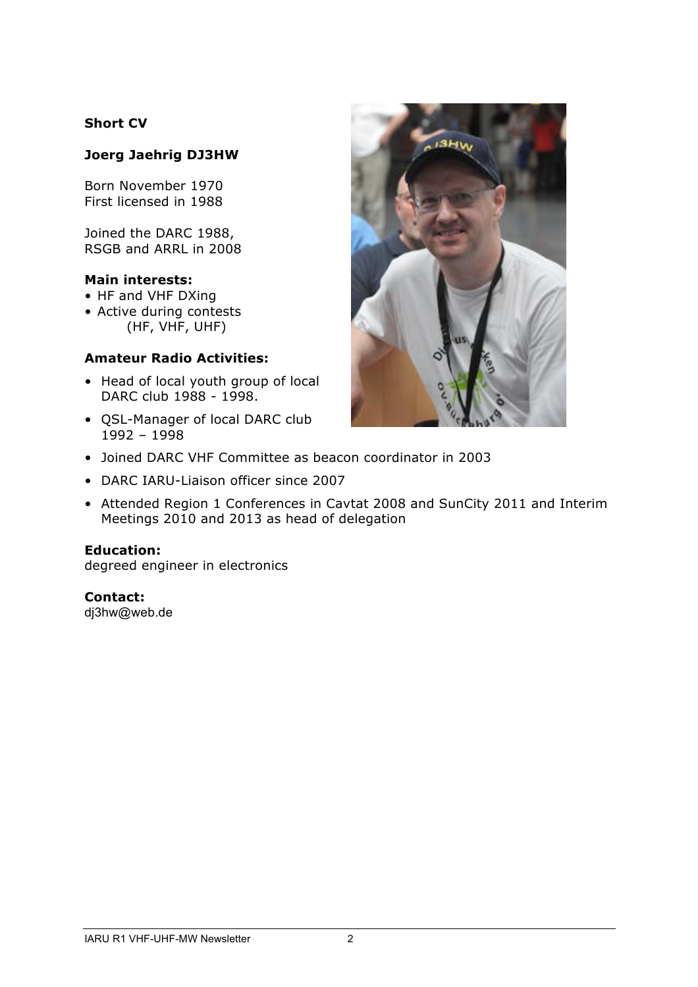### **Short CV**

## **Joerg Jaehrig DJ3HW**

Born November 1970 First licensed in 1988

Joined the DARC 1988, RSGB and ARRL in 2008

### **Main interests:**

- HF and VHF DXing
- Active during contests (HF, VHF, UHF)

### **Amateur Radio Activities:**

- Head of local youth group of local DARC club 1988 - 1998.
- QSL-Manager of local DARC club 1992 – 1998



- Joined DARC VHF Committee as beacon coordinator in 2003
- DARC IARU-Liaison officer since 2007
- Attended Region 1 Conferences in Cavtat 2008 and SunCity 2011 and Interim Meetings 2010 and 2013 as head of delegation

### **Education:**

degreed engineer in electronics

### **Contact:**

dj3hw@web.de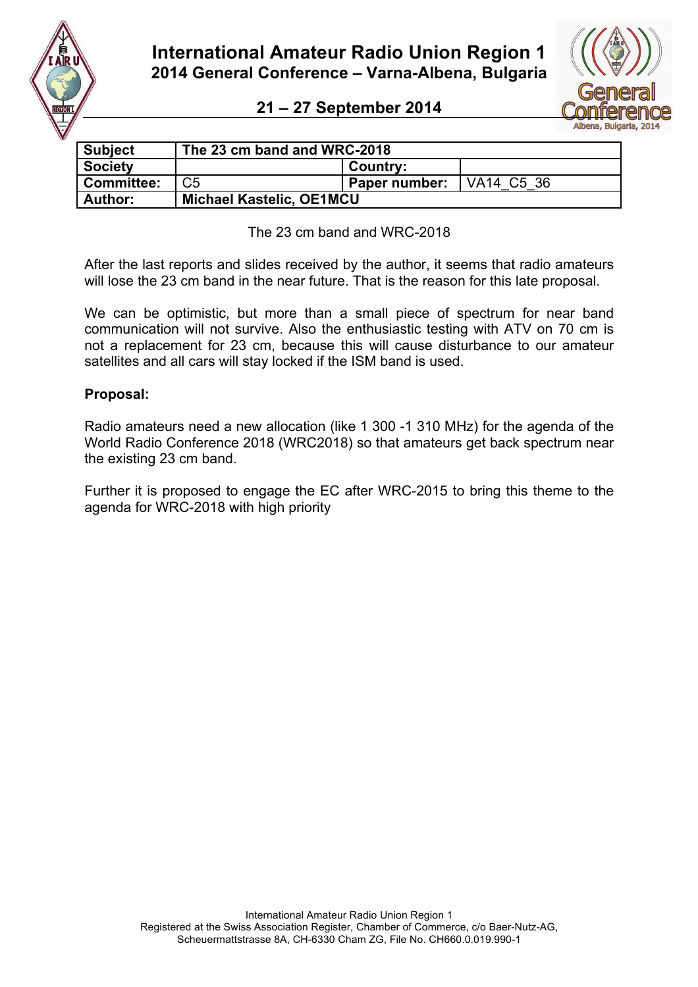

**International Amateur Radio Union Region 1 2014 General Conference – Varna-Albena, Bulgaria** 

# **21 – 27 September 2014**



| <b>Subject</b>    | The 23 cm band and WRC-2018     |               |            |  |  |
|-------------------|---------------------------------|---------------|------------|--|--|
| <b>Society</b>    |                                 | Country:      |            |  |  |
| <b>Committee:</b> | C5                              | Paper number: | VA14 C5 36 |  |  |
| <b>Author:</b>    | <b>Michael Kastelic, OE1MCU</b> |               |            |  |  |

The 23 cm band and WRC-2018

After the last reports and slides received by the author, it seems that radio amateurs will lose the 23 cm band in the near future. That is the reason for this late proposal.

We can be optimistic, but more than a small piece of spectrum for near band communication will not survive. Also the enthusiastic testing with ATV on 70 cm is not a replacement for 23 cm, because this will cause disturbance to our amateur satellites and all cars will stay locked if the ISM band is used.

### **Proposal:**

Radio amateurs need a new allocation (like 1 300 -1 310 MHz) for the agenda of the World Radio Conference 2018 (WRC2018) so that amateurs get back spectrum near the existing 23 cm band.

Further it is proposed to engage the EC after WRC-2015 to bring this theme to the agenda for WRC-2018 with high priority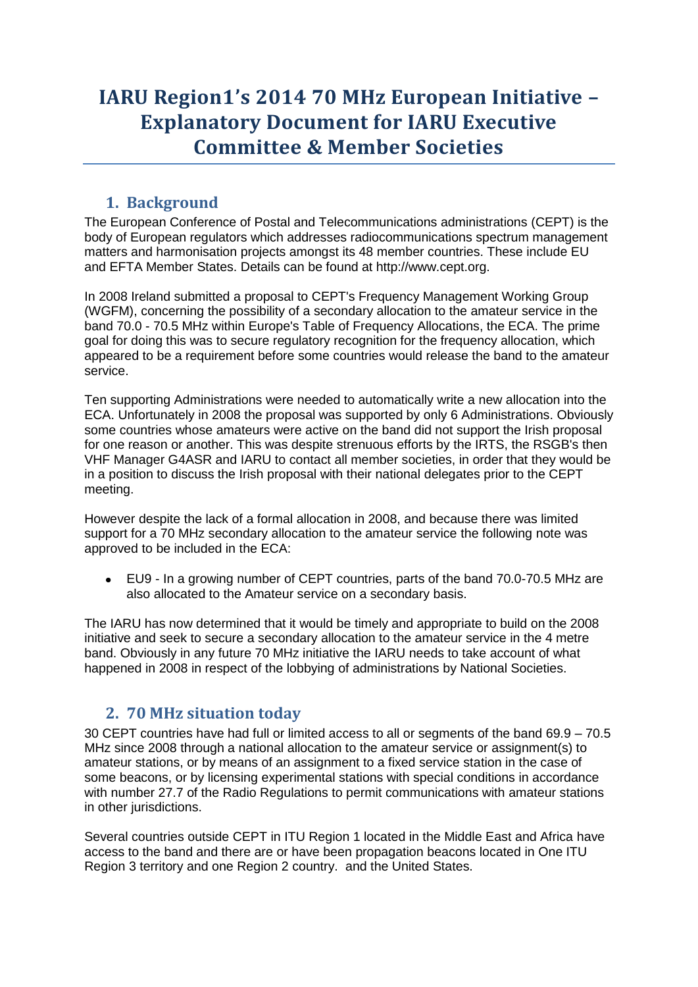# **IARU Region1's 2014 70 MHz European Initiative – Explanatory Document for IARU Executive Committee & Member Societies**

# **1. Background**

The European Conference of Postal and Telecommunications administrations (CEPT) is the body of European regulators which addresses radiocommunications spectrum management matters and harmonisation projects amongst its 48 member countries. These include EU and EFTA Member States. Details can be found at http://www.cept.org.

In 2008 Ireland submitted a proposal to CEPT's Frequency Management Working Group (WGFM), concerning the possibility of a secondary allocation to the amateur service in the band 70.0 - 70.5 MHz within Europe's Table of Frequency Allocations, the ECA. The prime goal for doing this was to secure regulatory recognition for the frequency allocation, which appeared to be a requirement before some countries would release the band to the amateur service.

Ten supporting Administrations were needed to automatically write a new allocation into the ECA. Unfortunately in 2008 the proposal was supported by only 6 Administrations. Obviously some countries whose amateurs were active on the band did not support the Irish proposal for one reason or another. This was despite strenuous efforts by the IRTS, the RSGB's then VHF Manager G4ASR and IARU to contact all member societies, in order that they would be in a position to discuss the Irish proposal with their national delegates prior to the CEPT meeting.

However despite the lack of a formal allocation in 2008, and because there was limited support for a 70 MHz secondary allocation to the amateur service the following note was approved to be included in the ECA:

EU9 - In a growing number of CEPT countries, parts of the band 70.0-70.5 MHz are  $\bullet$ also allocated to the Amateur service on a secondary basis.

The IARU has now determined that it would be timely and appropriate to build on the 2008 initiative and seek to secure a secondary allocation to the amateur service in the 4 metre band. Obviously in any future 70 MHz initiative the IARU needs to take account of what happened in 2008 in respect of the lobbying of administrations by National Societies.

# **2. 70 MHz situation today**

30 CEPT countries have had full or limited access to all or segments of the band 69.9 – 70.5 MHz since 2008 through a national allocation to the amateur service or assignment(s) to amateur stations, or by means of an assignment to a fixed service station in the case of some beacons, or by licensing experimental stations with special conditions in accordance with number 27.7 of the Radio Regulations to permit communications with amateur stations in other jurisdictions.

Several countries outside CEPT in ITU Region 1 located in the Middle East and Africa have access to the band and there are or have been propagation beacons located in One ITU Region 3 territory and one Region 2 country. and the United States.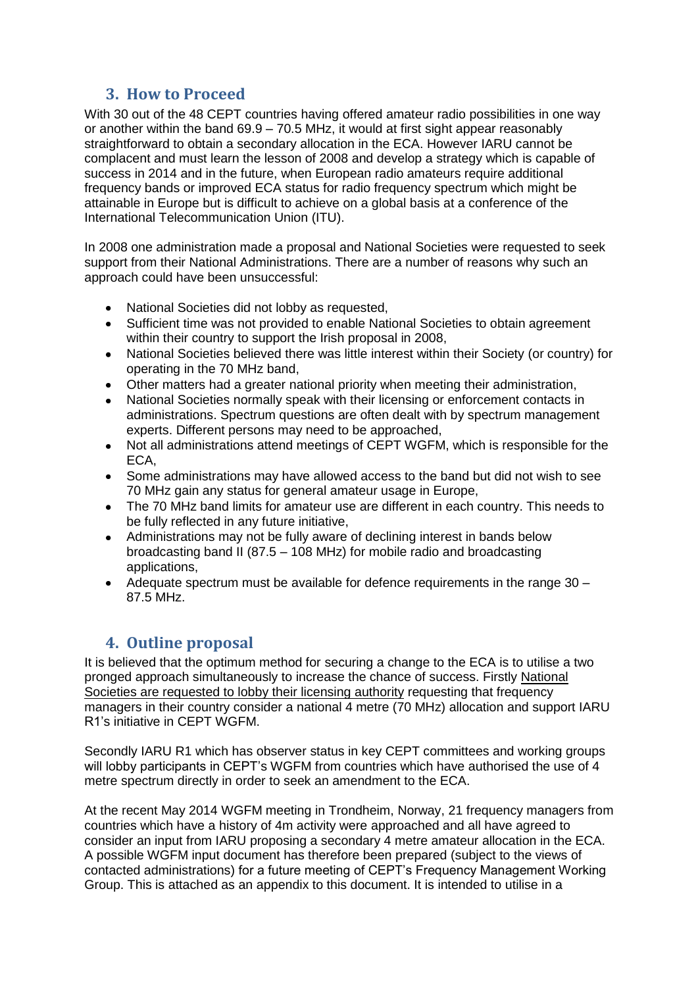# **3. How to Proceed**

With 30 out of the 48 CEPT countries having offered amateur radio possibilities in one way or another within the band 69.9 – 70.5 MHz, it would at first sight appear reasonably straightforward to obtain a secondary allocation in the ECA. However IARU cannot be complacent and must learn the lesson of 2008 and develop a strategy which is capable of success in 2014 and in the future, when European radio amateurs require additional frequency bands or improved ECA status for radio frequency spectrum which might be attainable in Europe but is difficult to achieve on a global basis at a conference of the International Telecommunication Union (ITU).

In 2008 one administration made a proposal and National Societies were requested to seek support from their National Administrations. There are a number of reasons why such an approach could have been unsuccessful:

- National Societies did not lobby as requested,  $\bullet$
- Sufficient time was not provided to enable National Societies to obtain agreement  $\bullet$ within their country to support the Irish proposal in 2008,
- National Societies believed there was little interest within their Society (or country) for operating in the 70 MHz band,
- Other matters had a greater national priority when meeting their administration,  $\bullet$
- $\bullet$ National Societies normally speak with their licensing or enforcement contacts in administrations. Spectrum questions are often dealt with by spectrum management experts. Different persons may need to be approached,
- Not all administrations attend meetings of CEPT WGFM, which is responsible for the  $\bullet$ ECA,
- Some administrations may have allowed access to the band but did not wish to see  $\bullet$ 70 MHz gain any status for general amateur usage in Europe,
- The 70 MHz band limits for amateur use are different in each country. This needs to be fully reflected in any future initiative,
- $\bullet$ Administrations may not be fully aware of declining interest in bands below broadcasting band II (87.5 – 108 MHz) for mobile radio and broadcasting applications,
- $\bullet$ Adequate spectrum must be available for defence requirements in the range 30 – 87.5 MHz.

# **4. Outline proposal**

It is believed that the optimum method for securing a change to the ECA is to utilise a two pronged approach simultaneously to increase the chance of success. Firstly National Societies are requested to lobby their licensing authority requesting that frequency managers in their country consider a national 4 metre (70 MHz) allocation and support IARU R1's initiative in CEPT WGFM.

Secondly IARU R1 which has observer status in key CEPT committees and working groups will lobby participants in CEPT's WGFM from countries which have authorised the use of 4 metre spectrum directly in order to seek an amendment to the ECA.

At the recent May 2014 WGFM meeting in Trondheim, Norway, 21 frequency managers from countries which have a history of 4m activity were approached and all have agreed to consider an input from IARU proposing a secondary 4 metre amateur allocation in the ECA. A possible WGFM input document has therefore been prepared (subject to the views of contacted administrations) for a future meeting of CEPT's Frequency Management Working Group. This is attached as an appendix to this document. It is intended to utilise in a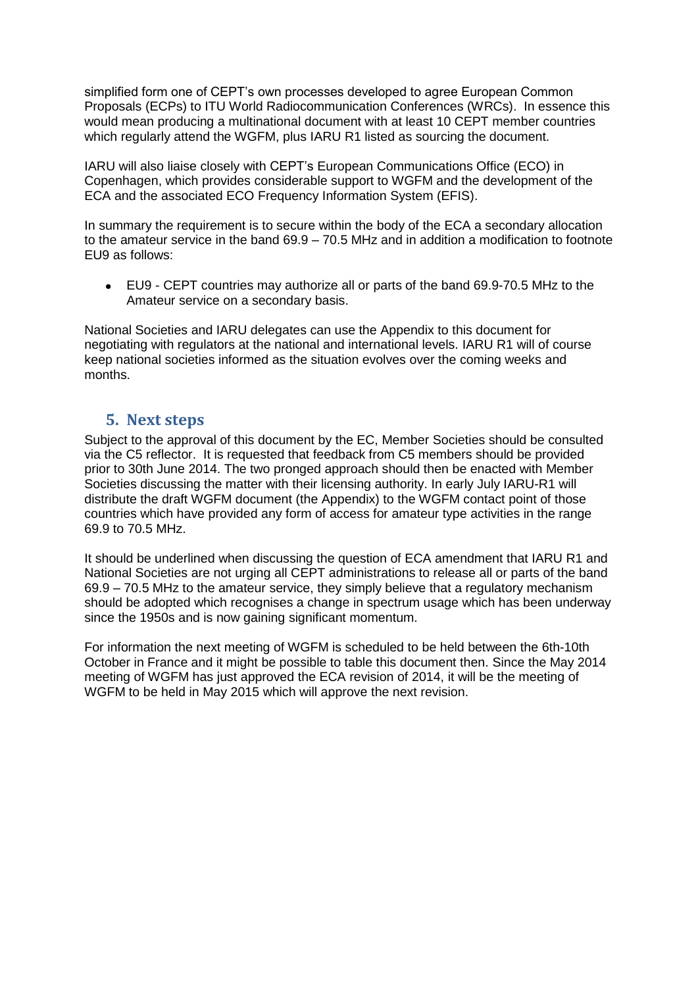simplified form one of CEPT's own processes developed to agree European Common Proposals (ECPs) to ITU World Radiocommunication Conferences (WRCs). In essence this would mean producing a multinational document with at least 10 CEPT member countries which regularly attend the WGFM, plus IARU R1 listed as sourcing the document.

IARU will also liaise closely with CEPT's European Communications Office (ECO) in Copenhagen, which provides considerable support to WGFM and the development of the ECA and the associated ECO Frequency Information System (EFIS).

In summary the requirement is to secure within the body of the ECA a secondary allocation to the amateur service in the band 69.9 – 70.5 MHz and in addition a modification to footnote EU9 as follows:

EU9 - CEPT countries may authorize all or parts of the band 69.9-70.5 MHz to the Amateur service on a secondary basis.

National Societies and IARU delegates can use the Appendix to this document for negotiating with regulators at the national and international levels. IARU R1 will of course keep national societies informed as the situation evolves over the coming weeks and months.

### **5. Next steps**

Subject to the approval of this document by the EC, Member Societies should be consulted via the C5 reflector. It is requested that feedback from C5 members should be provided prior to 30th June 2014. The two pronged approach should then be enacted with Member Societies discussing the matter with their licensing authority. In early July IARU-R1 will distribute the draft WGFM document (the Appendix) to the WGFM contact point of those countries which have provided any form of access for amateur type activities in the range 69.9 to 70.5 MHz.

It should be underlined when discussing the question of ECA amendment that IARU R1 and National Societies are not urging all CEPT administrations to release all or parts of the band 69.9 – 70.5 MHz to the amateur service, they simply believe that a regulatory mechanism should be adopted which recognises a change in spectrum usage which has been underway since the 1950s and is now gaining significant momentum.

For information the next meeting of WGFM is scheduled to be held between the 6th-10th October in France and it might be possible to table this document then. Since the May 2014 meeting of WGFM has just approved the ECA revision of 2014, it will be the meeting of WGFM to be held in May 2015 which will approve the next revision.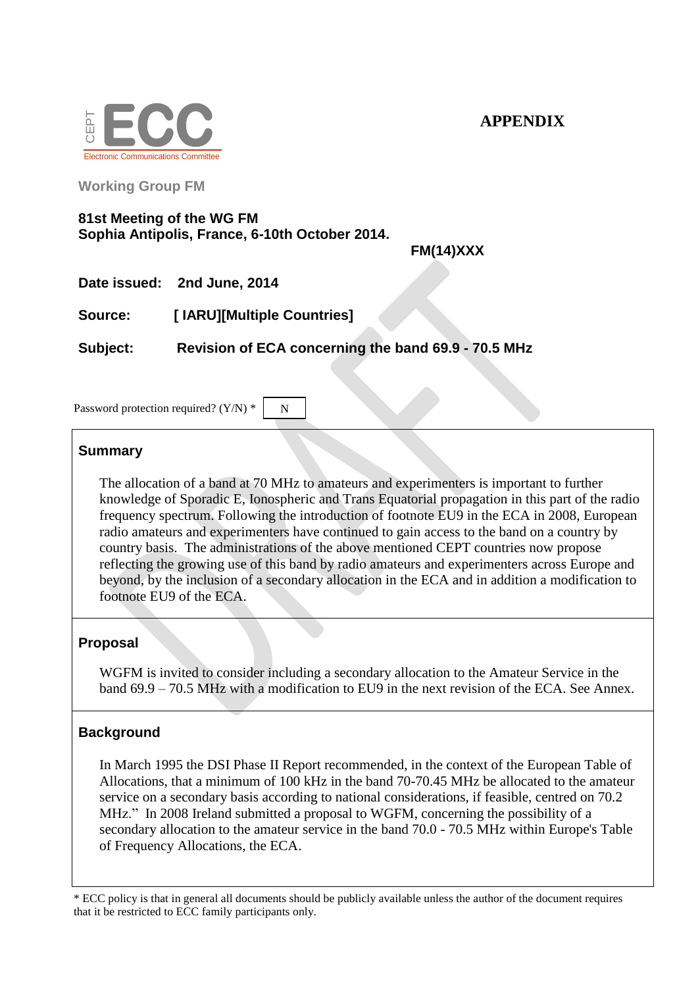

**Working Group FM**

### **81st Meeting of the WG FM Sophia Antipolis, France, 6-10th October 2014.**

**FM(14)XXX**

**Date issued: 2nd June, 2014**

**Source: [ IARU][Multiple Countries]**

**Subject: Revision of ECA concerning the band 69.9 - 70.5 MHz**

N

Password protection required? (Y/N) \*

### **Summary**

The allocation of a band at 70 MHz to amateurs and experimenters is important to further knowledge of Sporadic E, Ionospheric and Trans Equatorial propagation in this part of the radio frequency spectrum. Following the introduction of footnote EU9 in the ECA in 2008, European radio amateurs and experimenters have continued to gain access to the band on a country by country basis. The administrations of the above mentioned CEPT countries now propose reflecting the growing use of this band by radio amateurs and experimenters across Europe and beyond, by the inclusion of a secondary allocation in the ECA and in addition a modification to footnote EU9 of the ECA.

### **Proposal**

WGFM is invited to consider including a secondary allocation to the Amateur Service in the band  $69.9 - 70.5$  MHz with a modification to EU9 in the next revision of the ECA. See Annex.

### **Background**

In March 1995 the DSI Phase II Report recommended, in the context of the European Table of Allocations, that a minimum of 100 kHz in the band 70-70.45 MHz be allocated to the amateur service on a secondary basis according to national considerations, if feasible, centred on 70.2 MHz." In 2008 Ireland submitted a proposal to WGFM, concerning the possibility of a secondary allocation to the amateur service in the band 70.0 - 70.5 MHz within Europe's Table of Frequency Allocations, the ECA.

\* ECC policy is that in general all documents should be publicly available unless the author of the document requires that it be restricted to ECC family participants only.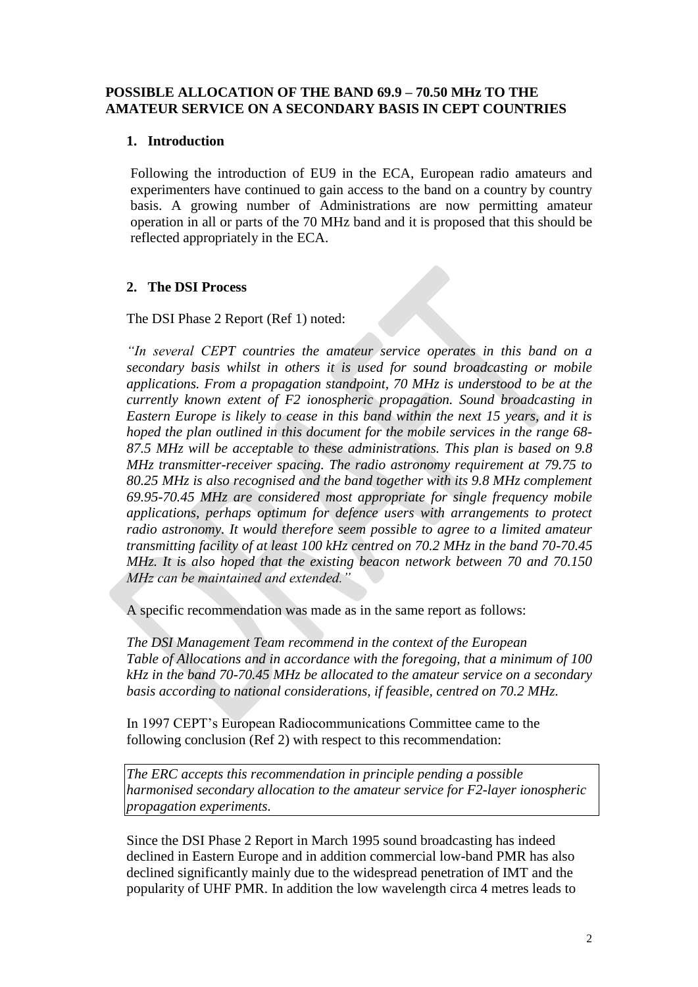### **POSSIBLE ALLOCATION OF THE BAND 69.9 – 70.50 MHz TO THE AMATEUR SERVICE ON A SECONDARY BASIS IN CEPT COUNTRIES**

### **1. Introduction**

Following the introduction of EU9 in the ECA, European radio amateurs and experimenters have continued to gain access to the band on a country by country basis. A growing number of Administrations are now permitting amateur operation in all or parts of the 70 MHz band and it is proposed that this should be reflected appropriately in the ECA.

### **2. The DSI Process**

The DSI Phase 2 Report (Ref 1) noted:

*"In several CEPT countries the amateur service operates in this band on a secondary basis whilst in others it is used for sound broadcasting or mobile applications. From a propagation standpoint, 70 MHz is understood to be at the currently known extent of F2 ionospheric propagation. Sound broadcasting in Eastern Europe is likely to cease in this band within the next 15 years, and it is hoped the plan outlined in this document for the mobile services in the range 68- 87.5 MHz will be acceptable to these administrations. This plan is based on 9.8 MHz transmitter-receiver spacing. The radio astronomy requirement at 79.75 to 80.25 MHz is also recognised and the band together with its 9.8 MHz complement 69.95-70.45 MHz are considered most appropriate for single frequency mobile applications, perhaps optimum for defence users with arrangements to protect radio astronomy. It would therefore seem possible to agree to a limited amateur transmitting facility of at least 100 kHz centred on 70.2 MHz in the band 70-70.45 MHz. It is also hoped that the existing beacon network between 70 and 70.150 MHz can be maintained and extended."*

A specific recommendation was made as in the same report as follows:

*The DSI Management Team recommend in the context of the European Table of Allocations and in accordance with the foregoing, that a minimum of 100 kHz in the band 70-70.45 MHz be allocated to the amateur service on a secondary basis according to national considerations, if feasible, centred on 70.2 MHz.*

In 1997 CEPT's European Radiocommunications Committee came to the following conclusion (Ref 2) with respect to this recommendation:

*The ERC accepts this recommendation in principle pending a possible harmonised secondary allocation to the amateur service for F2-layer ionospheric propagation experiments.*

Since the DSI Phase 2 Report in March 1995 sound broadcasting has indeed declined in Eastern Europe and in addition commercial low-band PMR has also declined significantly mainly due to the widespread penetration of IMT and the popularity of UHF PMR. In addition the low wavelength circa 4 metres leads to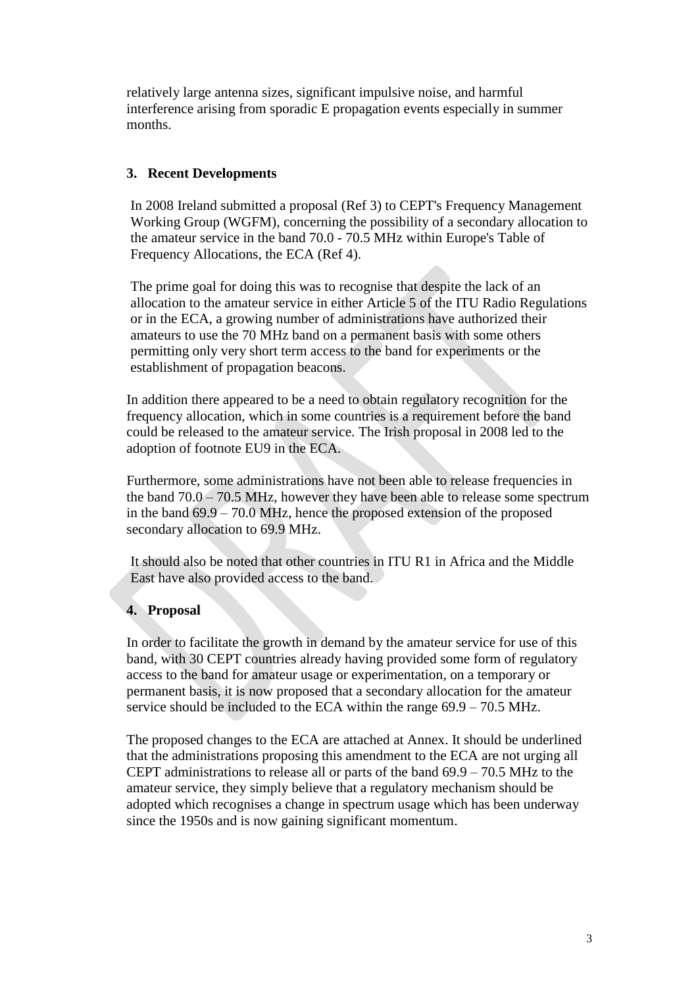relatively large antenna sizes, significant impulsive noise, and harmful interference arising from sporadic E propagation events especially in summer months.

### **3. Recent Developments**

In 2008 Ireland submitted a proposal (Ref 3) to CEPT's Frequency Management Working Group (WGFM), concerning the possibility of a secondary allocation to the amateur service in the band 70.0 - 70.5 MHz within Europe's Table of Frequency Allocations, the ECA (Ref 4).

The prime goal for doing this was to recognise that despite the lack of an allocation to the amateur service in either Article 5 of the ITU Radio Regulations or in the ECA, a growing number of administrations have authorized their amateurs to use the 70 MHz band on a permanent basis with some others permitting only very short term access to the band for experiments or the establishment of propagation beacons.

In addition there appeared to be a need to obtain regulatory recognition for the frequency allocation, which in some countries is a requirement before the band could be released to the amateur service. The Irish proposal in 2008 led to the adoption of footnote EU9 in the ECA.

Furthermore, some administrations have not been able to release frequencies in the band 70.0 – 70.5 MHz, however they have been able to release some spectrum in the band 69.9 – 70.0 MHz, hence the proposed extension of the proposed secondary allocation to 69.9 MHz.

It should also be noted that other countries in ITU R1 in Africa and the Middle East have also provided access to the band.

### **4. Proposal**

In order to facilitate the growth in demand by the amateur service for use of this band, with 30 CEPT countries already having provided some form of regulatory access to the band for amateur usage or experimentation, on a temporary or permanent basis, it is now proposed that a secondary allocation for the amateur service should be included to the ECA within the range 69.9 – 70.5 MHz.

The proposed changes to the ECA are attached at Annex. It should be underlined that the administrations proposing this amendment to the ECA are not urging all CEPT administrations to release all or parts of the band  $69.9 - 70.5$  MHz to the amateur service, they simply believe that a regulatory mechanism should be adopted which recognises a change in spectrum usage which has been underway since the 1950s and is now gaining significant momentum.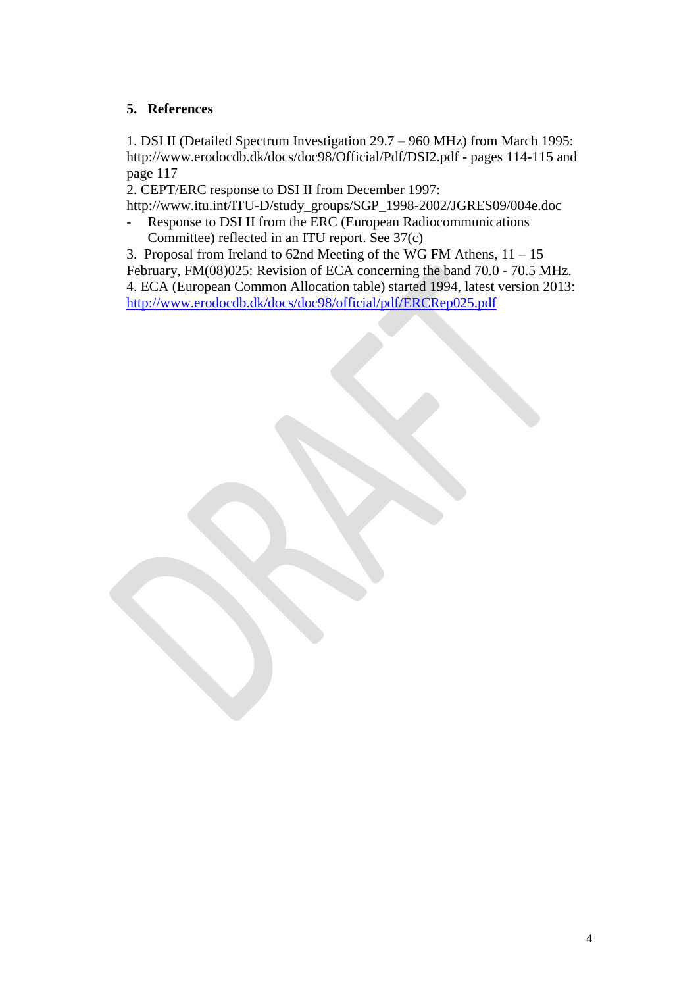### **5. References**

1. DSI II (Detailed Spectrum Investigation 29.7 – 960 MHz) from March 1995: http://www.erodocdb.dk/docs/doc98/Official/Pdf/DSI2.pdf - pages 114-115 and page 117

2. CEPT/ERC response to DSI II from December 1997:

[http://www.itu.int/ITU-D/study\\_groups/SGP\\_1998-2002/JGRES09/004e.doc](http://www.itu.int/ITU-D/study_groups/SGP_1998-2002/JGRES09/004e.doc) - Response to DSI II from the ERC (European Radiocommunications

Committee) reflected in an ITU report. See 37(c)

3. Proposal from Ireland to 62nd Meeting of the WG FM Athens, 11 – 15 February, FM(08)025: Revision of ECA concerning the band 70.0 - 70.5 MHz. 4. ECA (European Common Allocation table) started 1994, latest version 2013: <http://www.erodocdb.dk/docs/doc98/official/pdf/ERCRep025.pdf>